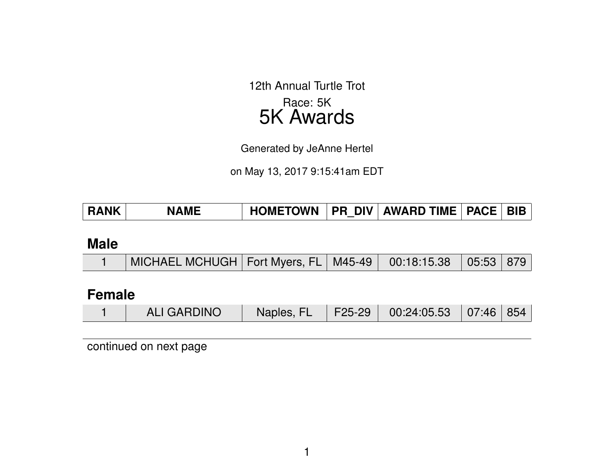12th Annual Turtle Trot Race: 5K 5K Awards

Generated by JeAnne Hertel

on May 13, 2017 9:15:41am EDT

| <b>RANK</b> | <b>NAME</b> | <b>HOMETOWN</b> |  | PR DIV   AWARD TIME   PACE |  | ' BIB |
|-------------|-------------|-----------------|--|----------------------------|--|-------|
|-------------|-------------|-----------------|--|----------------------------|--|-------|

#### **Male**

|  | MICHAEL MCHUGH   Fort Myers, FL   M45-49   00:18:15.38   05:53   879 |  |  |  |  |  |
|--|----------------------------------------------------------------------|--|--|--|--|--|
|--|----------------------------------------------------------------------|--|--|--|--|--|

### **Female**

|  | <b>ALI GARDINO</b> | Naples, FL |  | F25-29   00:24:05.53   07:46   854 |  |  |
|--|--------------------|------------|--|------------------------------------|--|--|
|--|--------------------|------------|--|------------------------------------|--|--|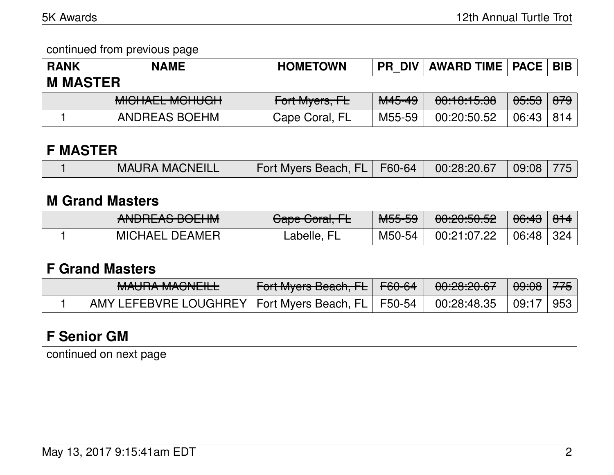continued from previous page

| <b>RANK</b>     | <b>NAME</b>                                | <b>HOMETOWN</b> | <b>PR DIV</b>     | <b>AWARD TIME   PACE   BIB</b> |                  |                |  |  |
|-----------------|--------------------------------------------|-----------------|-------------------|--------------------------------|------------------|----------------|--|--|
| <b>M MASTER</b> |                                            |                 |                   |                                |                  |                |  |  |
|                 | MIOUAL MOUUOU<br><del>MIUNALL MUNOUM</del> | Fort Myers, FL  | <del>M45-49</del> | <del>00:10:15.38</del>         | <del>05:53</del> | <del>879</del> |  |  |
|                 | ANDREAS BOEHM                              | Cape Coral, FL  | M55-59            | 00:20:50.52                    | 06:43            | 814            |  |  |

### **F MASTER**

|  | <b>MAURA MACNEILL</b> | Fort Myers Beach, FL   F60-64 |  | $00:28:20.67$ 09:08 775 |  |  |
|--|-----------------------|-------------------------------|--|-------------------------|--|--|
|--|-----------------------|-------------------------------|--|-------------------------|--|--|

#### **M Grand Masters**

| ANDDEAC DOFIIM<br><b>ANUNLAO DULITIM</b> | Cano Caval EL<br><del>Uape Guidi, TE</del> | MEE EQ<br>™ਹਹਾਹਰ | 0.0005050<br><u>UU.ZU.JU.JZ</u> | <del>06:43</del> | $\Omega$<br>$\overline{OPT}$ |
|------------------------------------------|--------------------------------------------|------------------|---------------------------------|------------------|------------------------------|
| <b>MICHAEL DEAMER</b>                    | _abelle                                    | M50-54           | 00:21:07.22                     | 06:48            | 324                          |

### **F Grand Masters**

| MALIDA MAQNIFILI<br><u>MAULIA MAUNEIEE</u>            | F <del>ort Myers Beach, FL</del> F <del>60-64</del> | <u>no no no cz</u><br>0.60.60.07                                   | <del>09:08</del>   <del>775</del> |                 |
|-------------------------------------------------------|-----------------------------------------------------|--------------------------------------------------------------------|-----------------------------------|-----------------|
| AMY LEFEBVRE LOUGHREY   Fort Myers Beach, FL   F50-54 |                                                     | $\begin{array}{ c c c c c } \hline 00:28:48.35 \hline \end{array}$ | $\vert$ 09:17                     | $\mid 953 \mid$ |

# **F Senior GM**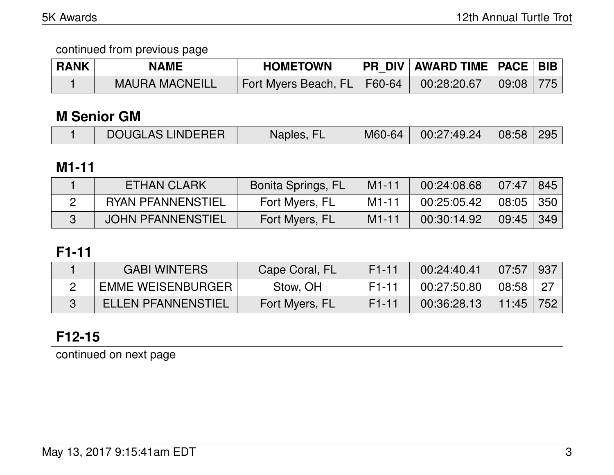| <b>RANK</b> | <b>NAME</b>           | <b>HOMETOWN</b>               | PR_DIV   AWARD TIME   PACE   BIB |           |  |
|-------------|-----------------------|-------------------------------|----------------------------------|-----------|--|
|             | <b>MAURA MACNEILL</b> | Fort Myers Beach, FL   F60-64 | 00:28:20.67                      | 09:08 775 |  |

#### **M Senior GM**

| <b>DOUGLAS LINDERER</b> | Naples, FL | M60-64 00:27:49.24 08:58 295 |  |
|-------------------------|------------|------------------------------|--|
|                         |            |                              |  |

### **M1-11**

| <b>ETHAN CLARK</b>       | <b>Bonita Springs, FL</b> | $M1 - 11$ | 00:24:08.68 | 07:47     | 845         |
|--------------------------|---------------------------|-----------|-------------|-----------|-------------|
| <b>RYAN PFANNENSTIEL</b> | Fort Myers, FL            | M1-11     | 00:25:05.42 | 08:05 350 |             |
| <b>JOHN PFANNENSTIEL</b> | Fort Myers, FL            | $M1 - 11$ | 00:30:14.92 | 09:45     | $\vert$ 349 |

# **F1-11**

| <b>GABI WINTERS</b>       | Cape Coral, FL | F <sub>1</sub> -11 | 00:24:40.41 | 07:57      | ∣937 |
|---------------------------|----------------|--------------------|-------------|------------|------|
| <b>EMME WEISENBURGER</b>  | Stow, OH       | F <sub>1</sub> -11 | 00:27:50.80 | $08:58$ 27 |      |
| <b>ELLEN PFANNENSTIEL</b> | Fort Myers, FL | F <sub>1</sub> -11 | 00:36:28.13 | 11:45      | 752  |

# **F12-15**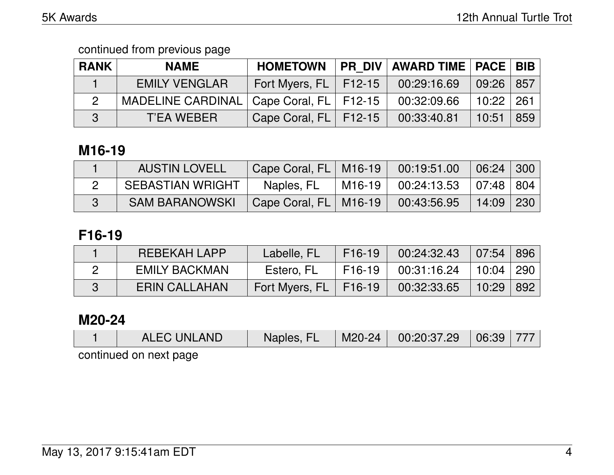| <b>RANK</b> | <b>NAME</b>                                 | <b>HOMETOWN</b>           | PR DIV   AWARD TIME   PACE   BIB |               |     |
|-------------|---------------------------------------------|---------------------------|----------------------------------|---------------|-----|
|             | <b>EMILY VENGLAR</b>                        | Fort Myers, $FL$   F12-15 | 00:29:16.69                      | $09:26$   857 |     |
|             | MADELINE CARDINAL   Cape Coral, FL   F12-15 |                           | 00:32:09.66                      | 10:22         | 261 |
| 3           | T'EA WEBER                                  | Cape Coral, $FL$ $F12-15$ | 00:33:40.81                      | 10:51         | 859 |

# **M16-19**

| <b>AUSTIN LOVELL</b>    | Cape Coral, FL   M16-19 | 00:19:51.00                  | $06:24$ 300 |  |
|-------------------------|-------------------------|------------------------------|-------------|--|
| <b>SEBASTIAN WRIGHT</b> | Naples, FL              | M16-19 00:24:13.53 07:48 804 |             |  |
| <b>SAM BARANOWSKI</b>   | Cape Coral, FL   M16-19 | 00:43:56.95                  | $14:09$ 230 |  |

# **F16-19**

| REBEKAH LAPP         | Labelle, FL             | F16-19 | $00:24:32.43$ 07:54 896     |       |     |
|----------------------|-------------------------|--------|-----------------------------|-------|-----|
| <b>EMILY BACKMAN</b> | Estero, FL              | F16-19 | $00:31:16.24$   10:04   290 |       |     |
| <b>ERIN CALLAHAN</b> | Fort Myers, FL   F16-19 |        | 00:32:33.65                 | 10:29 | 892 |

### **M20-24**

| <b>ALEC UNLAND</b>     | Naples, FL |  | $\vert$ M20-24 $\vert$ 00:20:37.29 $\vert$ 06:39 777 |  |  |  |  |  |
|------------------------|------------|--|------------------------------------------------------|--|--|--|--|--|
| continued on nout pogo |            |  |                                                      |  |  |  |  |  |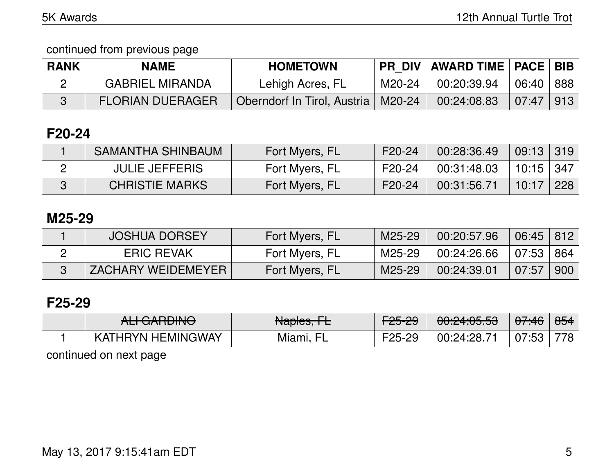continued from previous page

| <b>RANK</b> | <b>NAME</b>             | <b>HOMETOWN</b>                      |        | <b>PR DIV   AWARD TIME   PACE   BIB</b> |           |             |
|-------------|-------------------------|--------------------------------------|--------|-----------------------------------------|-----------|-------------|
|             | <b>GABRIEL MIRANDA</b>  | Lehigh Acres, FL                     | M20-24 | 00:20:39.94                             | 06:40 888 |             |
|             | <b>FLORIAN DUERAGER</b> | Oberndorf In Tirol, Austria   M20-24 |        | 00:24:08.83                             | 07:47     | $\vert$ 913 |

# **F20-24**

| SAMANTHA SHINBAUM     | Fort Myers, FL | F20-24 | 00:28:36.49 | 09:13 319                 |  |
|-----------------------|----------------|--------|-------------|---------------------------|--|
| <b>JULIE JEFFERIS</b> | Fort Myers, FL | F20-24 | 00:31:48.03 | $\vert$ 10:15 $\vert$ 347 |  |
| <b>CHRISTIE MARKS</b> | Fort Myers, FL | F20-24 | 00:31:56.71 | 10:17 228                 |  |

## **M25-29**

| <b>JOSHUA DORSEY</b>      | Fort Myers, FL | M25-29 | 00:20:57.96 | $06:45$ 812 |     |
|---------------------------|----------------|--------|-------------|-------------|-----|
| <b>ERIC REVAK</b>         | Fort Myers, FL | M25-29 | 00:24:26.66 | 07:53   864 |     |
| <b>ZACHARY WEIDEMEYER</b> | Fort Myers, FL | M25-29 | 00:24:39.01 | 07:57       | 900 |

## **F25-29**

| $\overline{M}$ $\overline{M}$ $\overline{M}$ $\overline{M}$ $\overline{M}$ | Aloplas EL                                          | <u>רחב הח</u> | $0.010100$ $E_0$    | $\Delta$ 7.40  | QE A |
|----------------------------------------------------------------------------|-----------------------------------------------------|---------------|---------------------|----------------|------|
| <del>ALTUANDINO</del>                                                      | $\overline{\text{trapeb}}$ , $\overline{\text{tr}}$ | CJ-CJ         | ᠊ <del>ᡡ᠘ᠮ᠗ᠸᡉ</del> | $\sqrt{77.70}$ | ਹਹਾ  |
| <b>HEMINGWAY</b><br>™HRYN⊺<br>KAT<br>$\blacksquare$                        | Miami,<br>⊢                                         | ークに…<br>ററ    | 00:24:28.7          | 07:53          |      |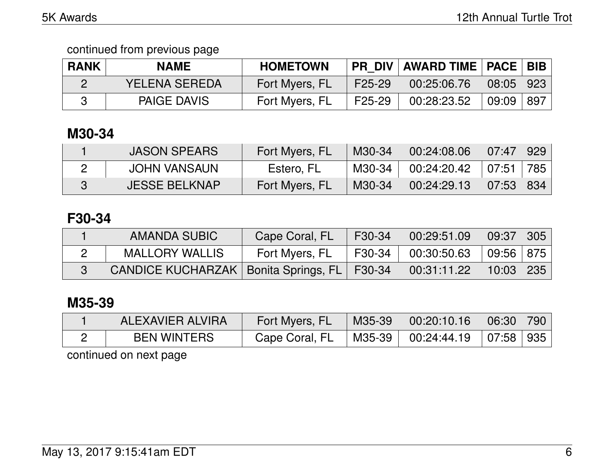| <b>RANK</b> | <b>NAME</b>        | <b>HOMETOWN</b> |        | <b>PR DIV AWARD TIME   PACE   BIB  </b> |                       |  |
|-------------|--------------------|-----------------|--------|-----------------------------------------|-----------------------|--|
|             | YELENA SEREDA      | Fort Myers, FL  | F25-29 | 00:25:06.76                             | $08:05$   923         |  |
|             | <b>PAIGE DAVIS</b> | Fort Myers, FL  | F25-29 | 00:28:23.52                             | $09:09 \mid 897 \mid$ |  |

# **M30-34**

| <b>JASON SPEARS</b>  | Fort Myers, FL | M30-34 | 00:24:08.06 | 07:47   929   |     |
|----------------------|----------------|--------|-------------|---------------|-----|
| <b>JOHN VANSAUN</b>  | Estero, FL     | M30-34 | 00:24:20.42 | 07:51         | 785 |
| <b>JESSE BELKNAP</b> | Fort Myers, FL | M30-34 | 00:24:29.13 | $07:53$   834 |     |

## **F30-34**

| AMANDA SUBIC                                    | Cape Coral, FL | F30-34 | 00:29:51.09        | 09:37                             | $\mid$ 305 $\mid$ |
|-------------------------------------------------|----------------|--------|--------------------|-----------------------------------|-------------------|
| <b>MALLORY WALLIS</b>                           | Fort Myers, FL |        | F30-34 00:30:50.63 | $\vert$ 09:56 $\vert$ 875 $\vert$ |                   |
| CANDICE KUCHARZAK   Bonita Springs, FL   F30-34 |                |        | 00:31:11.22        | $10:03$   235                     |                   |

# **M35-39**

| ALEXAVIER ALVIRA   | Fort Myers, FL | M35-39 | $\begin{array}{cc} 0.20:10.16 \end{array}$ | 06:30   790 |  |
|--------------------|----------------|--------|--------------------------------------------|-------------|--|
| <b>BEN WINTERS</b> | Cape Coral, FL |        | M35-39   00:24:44.19   07:58   935         |             |  |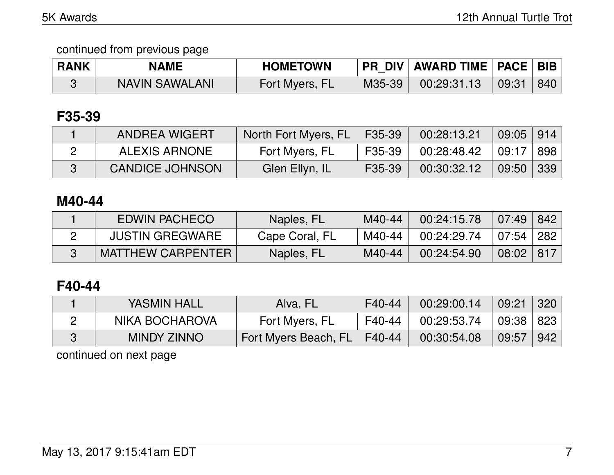| <b>RANK</b> | <b>NAME</b>           | <b>HOMETOWN</b> |        | <b>PR DIV   AWARD TIME   PACE   BIB</b> |       |     |
|-------------|-----------------------|-----------------|--------|-----------------------------------------|-------|-----|
|             | <b>NAVIN SAWALANI</b> | Fort Myers, FL  | M35-39 | 00:29:31.13                             | 09:31 | 840 |

### **F35-39**

| <b>ANDREA WIGERT</b>   | North Fort Myers, FL   F35-39 |        | 00:28:13.21 | $09:05$   914 |  |
|------------------------|-------------------------------|--------|-------------|---------------|--|
| ALEXIS ARNONE          | Fort Myers, FL                | F35-39 | 00:28:48.42 | ∣ 09:17 ∣ 898 |  |
| <b>CANDICE JOHNSON</b> | Glen Ellyn, IL                | F35-39 | 00:30:32.12 | $09:50$ 339   |  |

### **M40-44**

| <b>EDWIN PACHECO</b>   | Naples, FL     | M40-44 | 00:24:15.78 | 07:49         | 842 |
|------------------------|----------------|--------|-------------|---------------|-----|
| <b>JUSTIN GREGWARE</b> | Cape Coral, FL | M40-44 | 00:24:29.74 | 07.54 282     |     |
| MATTHEW CARPENTER      | Naples, FL     | M40-44 | 00:24:54.90 | $08:02$   817 |     |

### **F40-44**

| YASMIN HALL        | Alva, FL                      | F40-44 | 00:29:00.14 | 09:21     | 320 |
|--------------------|-------------------------------|--------|-------------|-----------|-----|
| NIKA BOCHAROVA     | Fort Myers, FL                | F40-44 | 00:29:53.74 | 09:38 823 |     |
| <b>MINDY ZINNO</b> | Fort Myers Beach, FL   F40-44 |        | 00:30:54.08 | 09:57     | 942 |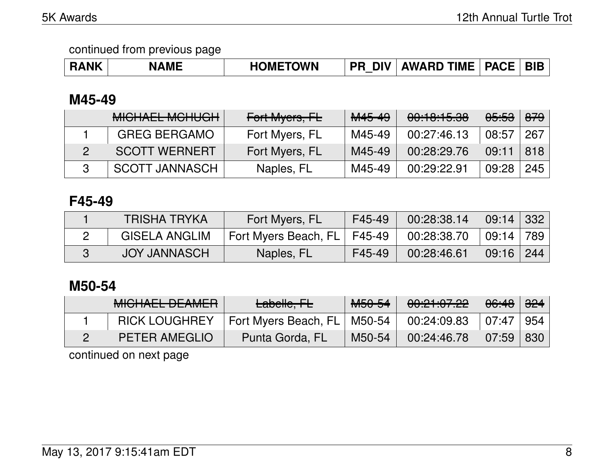| <b>RANK</b> | <b>NAME</b> | <b>HOMETOWN</b> | <b>PR</b> | <b>DIV   AWARD TIME   PACE    </b> |  | <b>BIB</b> |
|-------------|-------------|-----------------|-----------|------------------------------------|--|------------|
|-------------|-------------|-----------------|-----------|------------------------------------|--|------------|

### **M45-49**

| <b>MICHAEL MCHUGH</b> | Fort Myers, FL | M45-49 | 00:10:15.38 | <del>05:53</del> | <del>879</del> |
|-----------------------|----------------|--------|-------------|------------------|----------------|
| <b>GREG BERGAMO</b>   | Fort Myers, FL | M45-49 | 00:27:46.13 | 08:57            | 267            |
| <b>SCOTT WERNERT</b>  | Fort Myers, FL | M45-49 | 00:28:29.76 | 09:11            | 818            |
| <b>SCOTT JANNASCH</b> | Naples, FL     | M45-49 | 00:29:22.91 | 09:28            | 245            |

### **F45-49**

| <b>TRISHA TRYKA</b>  | Fort Myers, FL                | F45-49 | 00:28:38.14 | $09:14$ 332   |  |
|----------------------|-------------------------------|--------|-------------|---------------|--|
| <b>GISELA ANGLIM</b> | Fort Myers Beach, FL   F45-49 |        | 00:28:38.70 | 09:14 789     |  |
| <b>JOY JANNASCH</b>  | Naples, FL                    | F45-49 | 00:28:46.61 | $09:16$   244 |  |

## **M50-54**

| <b>MICHAEL DEAMER</b> | Labelle, FL                   | M <sub>50-54</sub> | 00:21:07.22 | 06:48 | <del>324</del> |
|-----------------------|-------------------------------|--------------------|-------------|-------|----------------|
| <b>RICK LOUGHREY</b>  | Fort Myers Beach, FL   M50-54 |                    | 00:24:09.83 | 07:47 | 954            |
| <b>PETER AMEGLIO</b>  | Punta Gorda, FL               | M50-54             | 00:24:46.78 | 07:59 | 830            |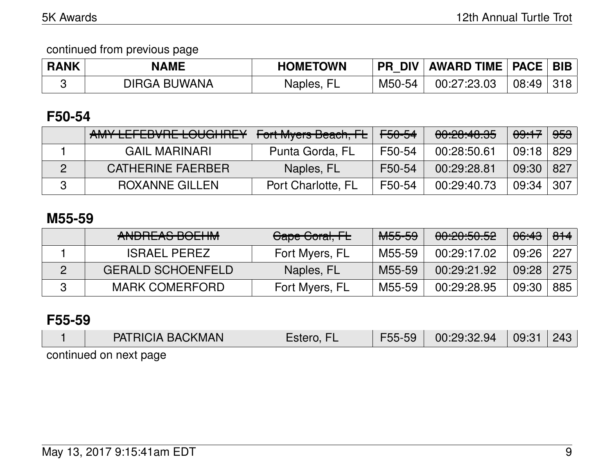| <b>RANK</b> | <b>NAME</b>         | <b>HOMETOWN</b> | <b>PR DIV</b> | AWARD TIME   PACE   BIB |       |  |
|-------------|---------------------|-----------------|---------------|-------------------------|-------|--|
|             | <b>DIRGA BUWANA</b> | -EI<br>Naples,  | M50-54        | 00:27:23.03             | 08:49 |  |

# **F50-54**

| AMY LEFEBVRE LOUGHREY | Fort Myers Beach, FL | <del>F50-54</del> | 00:20:40.35 | <del>09:17</del> | <del>953</del> |
|-----------------------|----------------------|-------------------|-------------|------------------|----------------|
| <b>GAIL MARINARI</b>  | Punta Gorda, FL      | F50-54            | 00:28:50.61 | $09:18$   829    |                |
| CATHERINE FAERBER     | Naples, FL           | F50-54            | 00:29:28.81 | 09:30            | 827            |
| <b>ROXANNE GILLEN</b> | Port Charlotte, FL   | F50-54            | 00:29:40.73 | 09:34            | 307            |

### **M55-59**

| ANDREAS BOEHM            | Cape Coral, FL | <del>M55-59</del> | 00:20:50.52 | <del>06:43</del> | $\theta$ <del>14</del> |
|--------------------------|----------------|-------------------|-------------|------------------|------------------------|
| <b>ISRAEL PEREZ</b>      | Fort Myers, FL | M55-59            | 00:29:17.02 | 09:26 227        |                        |
| <b>GERALD SCHOENFELD</b> | Naples, FL     | M55-59            | 00:29:21.92 | 09:28            | 275                    |
| <b>MARK COMERFORD</b>    | Fort Myers, FL | M55-59            | 00:29:28.95 | 09:30            | 885                    |

#### **F55-59**

| <b>PATRICIA BACKMAN</b> | Estero, | F55-59 | 00:29:32.94 | 09:31 | 243 |  |  |  |  |
|-------------------------|---------|--------|-------------|-------|-----|--|--|--|--|
| במפח tvan na hautinnon  |         |        |             |       |     |  |  |  |  |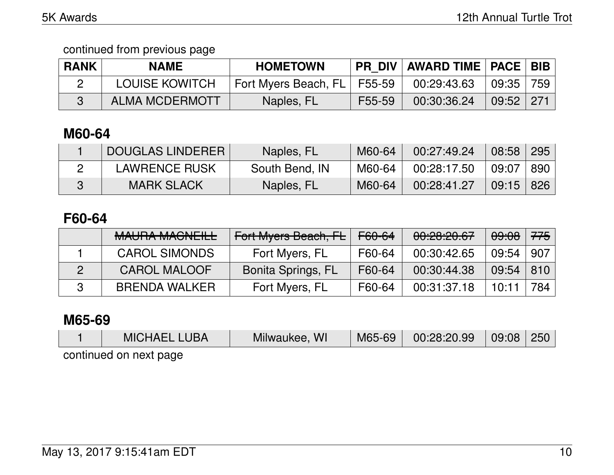continued from previous page

| <b>RANK</b> | <b>NAME</b>           | <b>HOMETOWN</b>      |        | PR DIV   AWARD TIME   PACE   BIB |               |     |
|-------------|-----------------------|----------------------|--------|----------------------------------|---------------|-----|
|             | <b>LOUISE KOWITCH</b> | Fort Myers Beach, FL | F55-59 | 00:29:43.63                      | 09:35         | 759 |
|             | <b>ALMA MCDERMOTT</b> | Naples, FL           | F55-59 | 00:30:36.24                      | $09:52$   271 |     |

# **M60-64**

| <b>DOUGLAS LINDERER</b> | Naples, FL     | M60-64 | 00:27:49.24 | 08:58 | 295 |
|-------------------------|----------------|--------|-------------|-------|-----|
| <b>LAWRENCE RUSK</b>    | South Bend, IN | M60-64 | 00:28:17.50 | 09:07 | 890 |
| <b>MARK SLACK</b>       | Naples, FL     | M60-64 | 00:28:41.27 | 09:15 | 826 |

### **F60-64**

| MALIDA MAQNIEILI<br><b>WAUTA WAUNELE</b> | Fort Myers Beach, FL | <del>F60-64</del> | 00:20:20.67 | <del>09:08</del> | 775 |
|------------------------------------------|----------------------|-------------------|-------------|------------------|-----|
| <b>CAROL SIMONDS</b>                     | Fort Myers, FL       | F60-64            | 00:30:42.65 | 09:54            | 907 |
| <b>CAROL MALOOF</b>                      | Bonita Springs, FL   | F60-64            | 00:30:44.38 | 09:54            | 810 |
| <b>BRENDA WALKER</b>                     | Fort Myers, FL       | F60-64            | 00:31:37.18 | 10:11            | 784 |

#### **M65-69**

| <b>MICHAEL LUBA</b>    | Milwaukee, WI | M65-69 00:28:20.99 | $\mid$ 09:08 $\mid$ 250 $\mid$ |  |
|------------------------|---------------|--------------------|--------------------------------|--|
| continued on next nage |               |                    |                                |  |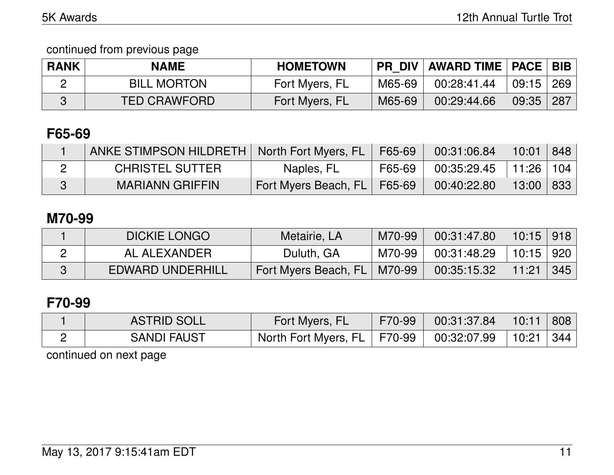continued from previous page

| <b>RANK</b> | <b>NAME</b>         | <b>HOMETOWN</b> |        | PR DIV   AWARD TIME   PACE   BIB |       |              |
|-------------|---------------------|-----------------|--------|----------------------------------|-------|--------------|
|             | <b>BILL MORTON</b>  | Fort Myers, FL  | M65-69 | 00:28:41.44                      | 09:15 | $\vert$ 269  |
|             | <b>TED CRAWFORD</b> | Fort Myers, FL  | M65-69 | 00:29:44.66                      | 09:35 | $\sqrt{287}$ |

# **F65-69**

| ANKE STIMPSON HILDRETH   North Fort Myers, FL   F65-69 |                               |          | $00:31:06.84$   10:01   848       |  |
|--------------------------------------------------------|-------------------------------|----------|-----------------------------------|--|
| <b>CHRISTEL SUTTER</b>                                 | Naples, FL                    | F65-69 L | $\vert$ 00:35:29.45   11:26   104 |  |
| <b>MARIANN GRIFFIN</b>                                 | Fort Myers Beach, FL   F65-69 |          | $00:40:22.80$   13:00   833       |  |

### **M70-99**

| <b>DICKIE LONGO</b>     | Metairie, LA                  | M70-99 | 00:31:47.80                 | $10:15$   918                 |     |
|-------------------------|-------------------------------|--------|-----------------------------|-------------------------------|-----|
| AL ALEXANDER            | Duluth, GA                    | M70-99 | $00:31:48.29$   10:15   920 |                               |     |
| <b>EDWARD UNDERHILL</b> | Fort Myers Beach, FL   M70-99 |        | 00:35:15.32                 | $\parallel$ 11:21 $\parallel$ | 345 |

# **F70-99**

| <b>ASTRID SOLL</b> | Fort Myers, FL                                            | F70-99 | $00:31:37.84$   10:11   808 |  |
|--------------------|-----------------------------------------------------------|--------|-----------------------------|--|
| <b>SANDI FAUST</b> | North Fort Myers, FL   F70-99   00:32:07.99   10:21   344 |        |                             |  |